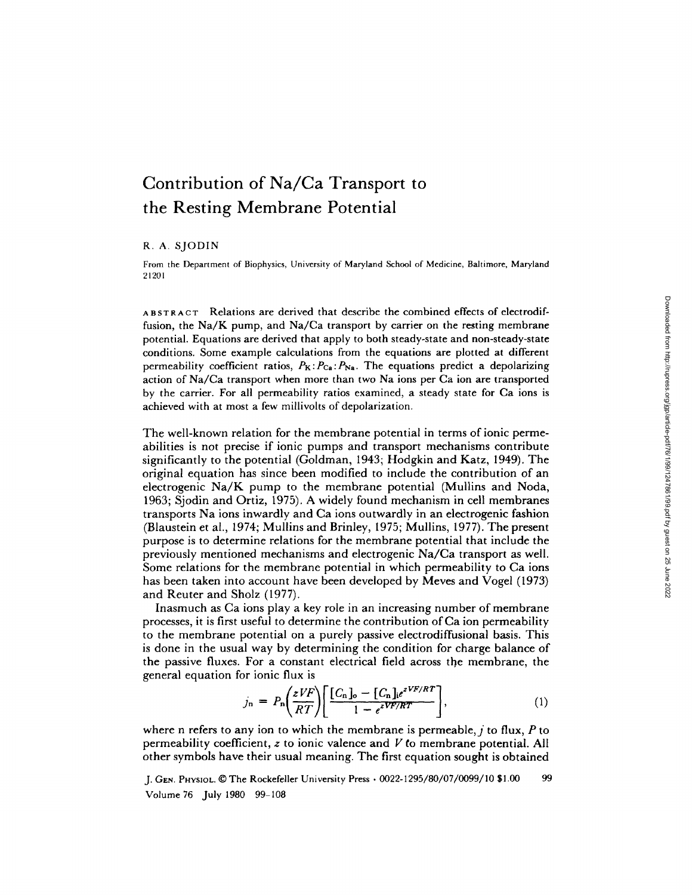# **Contribution of Na/Ca Transport to the Resting Membrane Potential**

## R. A. SJODIN

From the Department of Biophysics, University of Maryland School of Medicine, Baltimore, Maryland 21201

ABSTRACT Relations are derived that describe the combined effects of electrodiffusion, the Na/K pump, and Na/Ca transport by carrier on the resting membrane potential. Equations are derived that apply to both steady-state and non-steady-state conditions. Some example calculations from the equations are plotted at different permeability coefficient ratios,  $P_K: P_{Ca}: P_{Na}$ . The equations predict a depolarizing action of Na/Ca transport when more than two Na ions per Ca ion are transported by the carrier. For all permeability ratios examined, a steady state for Ca ions is achieved with at most a few millivolts of depolarization.

The well-known relation for the membrane potential in terms of ionic permeabilities is not precise if ionic pumps and transport mechanisms contribute significantly to the potential (Goldman, 1943; Hodgkin and Katz, 1949). The original equation has since been modified to include the contribution of an electrogenic Na/K pump to the membrane potential (Mullins and Noda, 1963; Sjodin and Ortiz, 1975). A widely found mechanism in cell membranes transports Na ions inwardly and Ca ions outwardly in an electrogenic fashion (Blaustein et al., 1974; Mullins and Brinley, 1975; Mullins, 1977). The present purpose is to determine relations for the membrane potential that include the previously mentioned mechanisms and electrogenic Na/Ca transport as well. Some relations for the membrane potential in which permeability to Ca ions has been taken into account have been developed by Meves and Vogel (1973) and Reuter and Sholz (1977).

Inasmuch as Ca ions play a key role in an increasing number of membrane processes, it is first useful to determine the contribution of Ca ion permeability to the membrane potential on a purely passive electrodiffusional basis. This is done in the usual way by determining the condition for charge balance of the passive fluxes. For a constant electrical field across the membrane, the general equation for ionic flux is

$$
j_{\rm n} = P_{\rm n} \bigg( \frac{z V F}{RT} \bigg) \bigg[ \frac{[C_{\rm n}]_o - [C_{\rm n}]_i e^{z V F / RT}}{1 - e^{z V F / RT}} \bigg], \tag{1}
$$

where n refers to any ion to which the membrane is permeable,  $j$  to flux, P to permeability coefficient,  $z$  to ionic valence and  $V$  to membrane potential. All other symbols have their usual meaning. The first equation sought is obtained

J. GEN. PHYSIOL. © The Rockefeller University Press · 0022-1295/80/07/0099/10 \$1.00 99 Volume 76 July 1980 99-108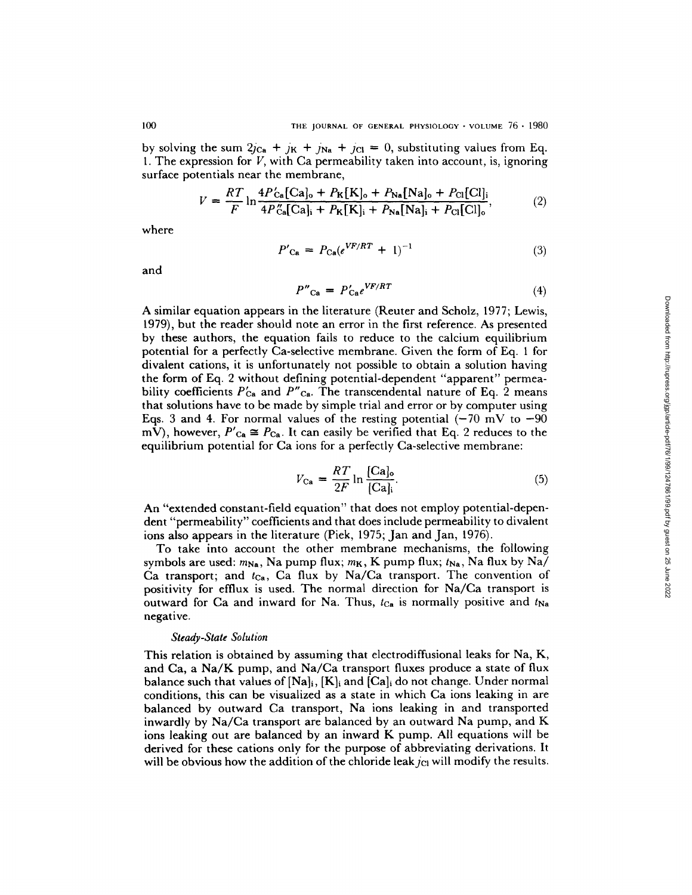by solving the sum  $2j_{Ca} + j_K + j_{Na} + j_{Cl} = 0$ , substituting values from Eq. 1. The expression for  $V$ , with Ca permeability taken into account, is, ignoring surface potentials near the membrane,

$$
V = \frac{RT}{F} \ln \frac{4P'_{Ca}[Ca]_{o} + P_{K}[K]_{o} + P_{Na}[Na]_{o} + P_{Cl}[Cl]_{i}}{4P''_{Ca}[Ca]_{i} + P_{K}[K]_{i} + P_{Na}[Na]_{i} + P_{Cl}[Cl]_{o}},
$$
(2)

where

$$
P'_{\text{Ca}} = P_{\text{Ca}}(e^{VF/RT} + 1)^{-1} \tag{3}
$$

and

$$
P''_{\text{Ca}} = P'_{\text{Ca}} e^{VF/RT} \tag{4}
$$

A similar equation appears in the literature (Reuter and Scholz, 1977; Lewis, 1979), but the reader should note an error in the first reference. As presented by these authors, the equation fails to reduce to the calcium equilibrium potential for a perfectly Ca-selective membrane. Given the form of Eq. 1 for divalent cations, it is unfortunately not possible to obtain a solution having the form of Eq. 2 without defining potential-dependent "apparent" permeability coefficients  $P'_{Ca}$  and  $P''_{Ca}$ . The transcendental nature of Eq. 2 means that solutions have to be made by simple trial and error or by computer using Eqs. 3 and 4. For normal values of the resting potential  $(-70 \text{ mV to } -90$ mV), however,  $P'_{\text{Ca}} \cong P_{\text{Ca}}$ . It can easily be verified that Eq. 2 reduces to the equilibrium potential for Ca ions for a perfectly Ca-selective membrane:

$$
V_{\text{Ca}} = \frac{RT}{2F} \ln \frac{[\text{Ca}]_0}{[\text{Ca}]_i}.\tag{5}
$$

An "extended constant-field equation" that does not employ potential-dependent "permeability" coefficients and that does include permeability to divalent ions also appears in the literature (Pick, 1975; Jan and Jan, 1976).

To take into account the other membrane mechanisms, the following symbols are used:  $m_{\text{Na}}$ , Na pump flux;  $m_K$ , K pump flux;  $t_{\text{Na}}$ , Na flux by Na/ Ca transport; and  $t_{Ca}$ , Ca flux by Na/Ca transport. The convention of positivity for cfflux is used. The normal direction for Na/Ca transport is outward for Ca and inward for Na. Thus,  $t_{Ca}$  is normally positive and  $t_{Na}$ negative.

#### *Steady-State Solution*

This relation is obtained by assuming that electrodiffusional leaks for Na, K, and Ca, a Na/K pump, and Na/Ca transport fluxes produce a state of flux balance such that values of  $[Na]_i$ ,  $[K]_i$  and  $[Ca]_i$  do not change. Under normal conditions, this can be visualized as a state in which Ca ions leaking in are balanced by outward Ca transport, Na ions leaking in and transported inwardly by Na/Ca transport are balanced by an outward Na pump, and K ions leaking out are balanced by an inward K pump. All equations will be derived for these cations only for the purpose of abbreviating derivations. It will be obvious how the addition of the chloride leak  $j_{\text{Cl}}$  will modify the results.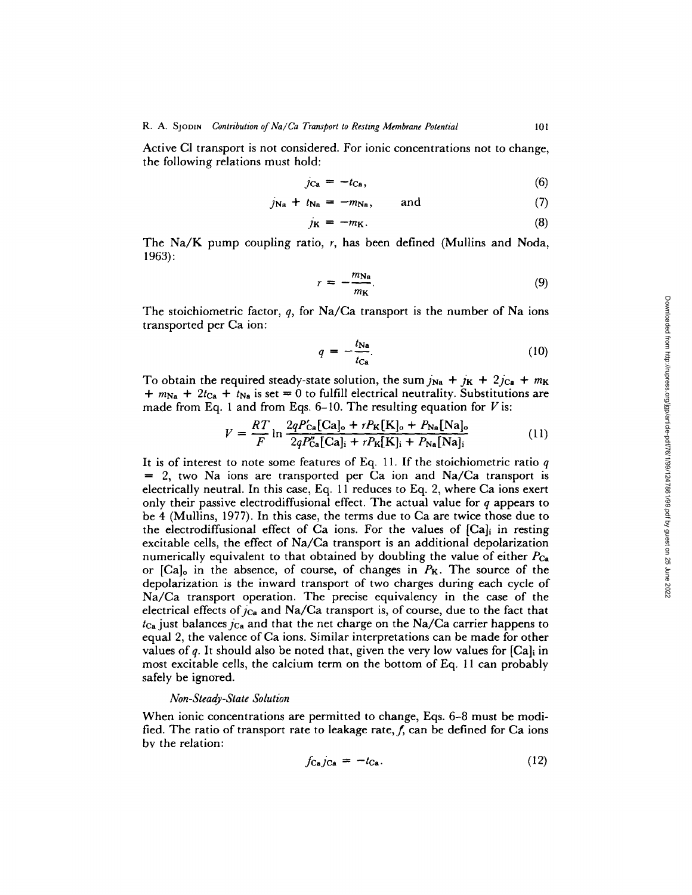Active CI transport is not considered. For ionic concentrations not to change, the following relations must hold:

$$
j_{\text{Ca}} = -t_{\text{Ca}},\tag{6}
$$

$$
j_{\mathbf{N}\mathbf{a}} + t_{\mathbf{N}\mathbf{a}} = -m_{\mathbf{N}\mathbf{a}}, \quad \text{and} \tag{7}
$$

$$
j_{\mathbf{K}} = -m_{\mathbf{K}}.\tag{8}
$$

The Na/K pump coupling ratio, r, has been defined (Mullins and Noda, 1963):

$$
r = -\frac{m_{\rm Na}}{m_{\rm K}}.\tag{9}
$$

The stoichiometric factor,  $q$ , for Na/Ca transport is the number of Na ions transported per Ca ion:

$$
q = -\frac{t_{\text{Na}}}{t_{\text{Ca}}}.\tag{10}
$$

To obtain the required steady-state solution, the sum  $j_{\text{Na}} + j_{\text{K}} + 2j_{\text{Ca}} + m_{\text{K}}$  $+m_{\text{Na}} + 2t_{\text{Ca}} + t_{\text{Na}}$  is set = 0 to fulfill electrical neutrality. Substitutions are made from Eq. 1 and from Eqs. 6-10. The resulting equation for  $V$  is:

$$
V = \frac{RT}{F} \ln \frac{2qP'_{\text{Ca}}[\text{Ca}]_o + rP_{\text{K}}[\text{K}]_o + P_{\text{Na}}[\text{Na}]_o}{2qP''_{\text{Ca}}[\text{Ca}]_i + rP_{\text{K}}[\text{K}]_i + P_{\text{Na}}[\text{Na}]_i}
$$
(11)

It is of interest to note some features of Eq. 11. If the stoichiometric ratio  $q$  $= 2$ , two Na ions are transported per Ca ion and Na/Ca transport is electrically neutral. In this case, Eq. 11 reduces to Eq. 2, where Ca ions exert only their passive electrodiffusional effect. The actual value for  $q$  appears to be 4 (Mullins, 1977). In this case, the terms due to Ca are twice those due to the electrodiffusional effect of Ca ions. For the values of  $[Cal]$  in resting excitable cells, the effect of Na/Ca transport is an additional depolarization numerically equivalent to that obtained by doubling the value of either  $P_{Ca}$ or  $[Ca]_o$  in the absence, of course, of changes in  $P_K$ . The source of the depolarization is the inward transport of two charges during each cycle of Na/Ca transport operation. The precise equivalency in the case of the electrical effects of  $j_{Ca}$  and Na/Ca transport is, of course, due to the fact that  $t_{Ca}$  just balances  $c_{Ca}$  and that the net charge on the Na/Ca carrier happens to equal 2, the valence of Ca ions. Similar interpretations can be made for other values of q. It should also be noted that, given the very low values for  $|Cal_i|$  in most excitable cells, the calcium term on the bottom of Eq. 11 can probably safely be ignored.

#### *Non-Steady-State Solution*

When ionic concentrations are permitted to change, Eqs. 6-8 must be modified. The ratio of transport rate to leakage rate,  $f$ , can be defined for Ca ions bv the relation:

$$
f_{\text{Ca}}j_{\text{Ca}} = -t_{\text{Ca}}.\tag{12}
$$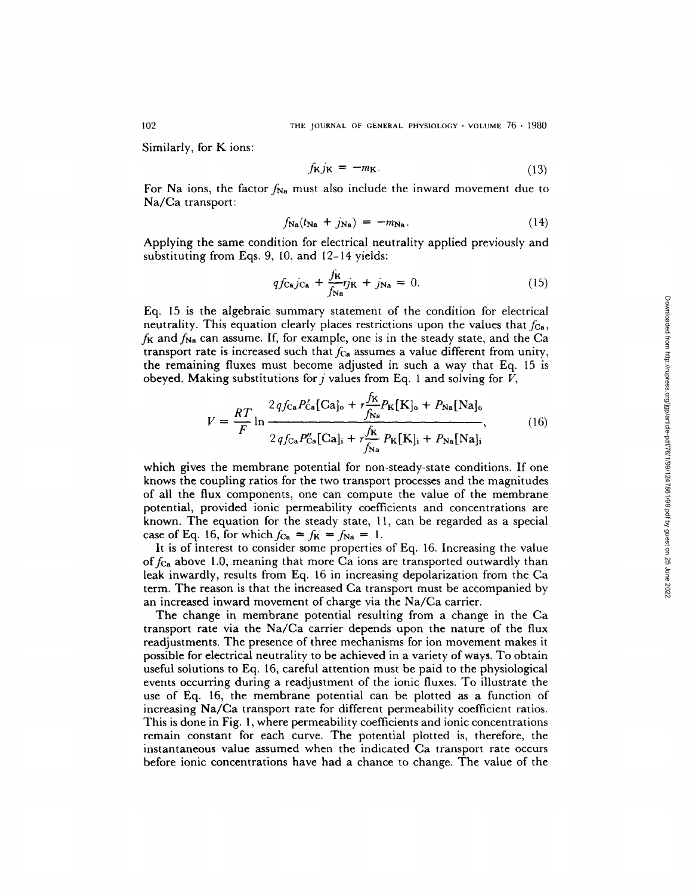Similarly, for K ions:

$$
f_{\mathbf{K}}j_{\mathbf{K}} = -m_{\mathbf{K}}.\tag{13}
$$

For Na ions, the factor  $f_{\text{Na}}$  must also include the inward movement due to Na/Ca transport:

$$
f_{\mathbf{Na}}(t_{\mathbf{Na}} + j_{\mathbf{Na}}) = -m_{\mathbf{Na}}.\tag{14}
$$

Applying the same condition for electrical neutrality applied previously and substituting from Eqs. 9, 10, and 12-14 yields:

$$
qf_{\text{Ca}}j_{\text{Ca}} + \frac{f_{\text{K}}}{f_{\text{Na}}}r_{\text{JK}} + j_{\text{Na}} = 0. \tag{15}
$$

Eq. 15 is the algebraic summary statement of the condition for electrical neutrality. This equation clearly places restrictions upon the values that  $f_{\text{Ca}}$ ,  $f_K$  and  $f_{Na}$  can assume. If, for example, one is in the steady state, and the Ca transport rate is increased such that  $f_{Ca}$  assumes a value different from unity, the remaining fluxes must become adjusted in such a way that Eq. 15 is obeyed. Making substitutions for  $j$  values from Eq. 1 and solving for  $V$ ,

$$
V = \frac{RT}{F} \ln \frac{2qf_{\text{Ca}}P'_{\text{Ca}}[\text{Ca}]_{\text{o}} + r\frac{f_K}{f_{\text{Na}}}P_K[\text{K}]_{\text{o}} + P_{\text{Na}}[\text{Na}]_{\text{o}}}{2qf_{\text{Ca}}P''_{\text{Ca}}[\text{Ca}]_{\text{i}} + r\frac{f_K}{f_{\text{Na}}}P_K[\text{K}]_{\text{i}} + P_{\text{Na}}[\text{Na}]_{\text{i}}},\tag{16}
$$

which gives the membrane potential for non-steady-state conditions. If one knows the coupling ratios for the two transport processes and the magnitudes of all the flux components, one can compute the value of the membrane potential, provided ionic permeability coefficients and concentrations are known. The equation for the steady state, 11, can be regarded as a special case of Eq. 16, for which  $f_{\text{Ca}} = f_{\text{K}} = f_{\text{Na}} = 1$ .

It is of interest to consider some properties of Eq. 16. Increasing the value of  $f_{Ca}$  above 1.0, meaning that more Ca ions are transported outwardly than leak inwardly, results from Eq. 16 in increasing depolarization from the Ca term. The reason is that the increased Ca transport must be accompanied by an increased inward movement of charge via the Na/Ca carrier.

The change in membrane potential resulting from a change in the Ca transport rate via the Na/Ca carrier depends upon the nature of the flux readjustments. The presence of three mechanisms for ion movement makes it possible for electrical neutrality to be achieved in a variety of ways. To obtain useful solutions to Eq. 16, careful attention must be paid to the physiological events occurring during a readjustment of the ionic fluxes, To illustrate the use of Eq. 16, the membrane potential can be plotted as a function of increasing Na/Ca transport rate for different permeability coefficient ratios. This is done in Fig. l, where permeability coefficients and ionic concentrations remain constant for each curve. The potential plotted is, therefore, the instantaneous value assumed when the indicated Ca transport rate occurs before ionic concentrations have had a chance to change. The value of the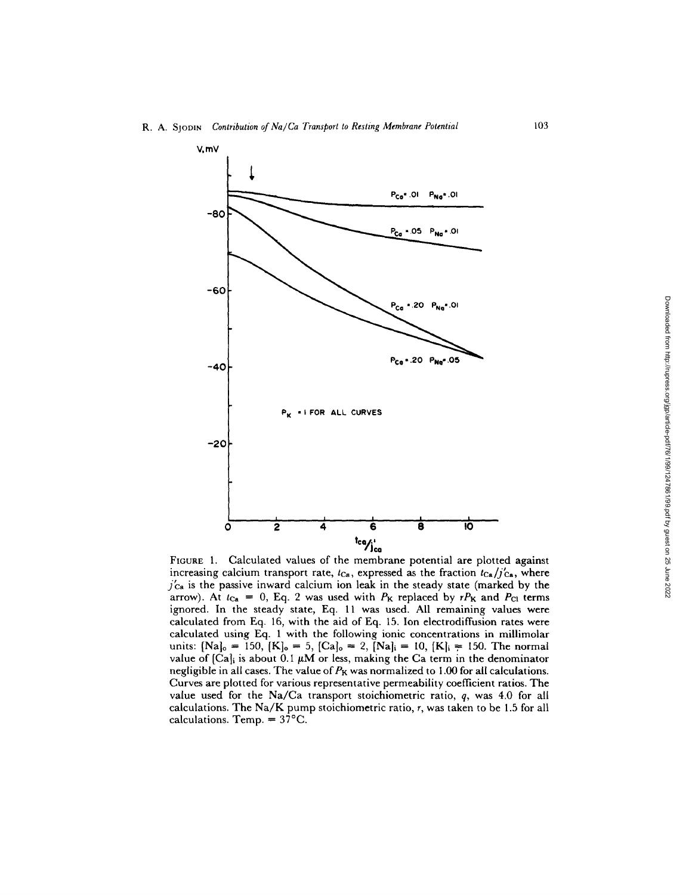

FIGURE 1. Calculated values of the membrane potential are plotted against increasing calcium transport rate,  $t_{Ca}$ , expressed as the fraction  $t_{Ca}/j'_{Ca}$ , where  $j'_{\text{Ca}}$  is the passive inward calcium ion leak in the steady state (marked by the arrow). At  $t_{Ca} = 0$ , Eq. 2 was used with  $P_K$  replaced by  $rP_K$  and  $P_{Cl}$  terms ignored. In the steady state, Eq. 11 was used. All remaining values were calculated from Eq. 16, with the aid of Eq. 15. Ion electrodiffusion rates were calculated using Eq. 1 with the following ionic concentrations in millimolar units:  $[Na]_0 = 150$ ,  $[K]_0 = 5$ ,  $[Ca]_0 = 2$ ,  $[Na]_i = 10$ ,  $[K]_i = 150$ . The normal value of  $[Ca]_i$  is about 0.1  $\mu$ M or less, making the Ca term in the denominator negligible in all cases. The value of  $P_K$  was normalized to 1.00 for all calculations. Curves are plotted for various representative permeability coefficient ratios. The value used for the Na/Ca transport stoichiometric ratio, q, was 4.0 for all calculations. The Na/K pump stoichiometric ratio, r, was taken to be 1.5 for all calculations. Temp.  $= 37^{\circ}$ C.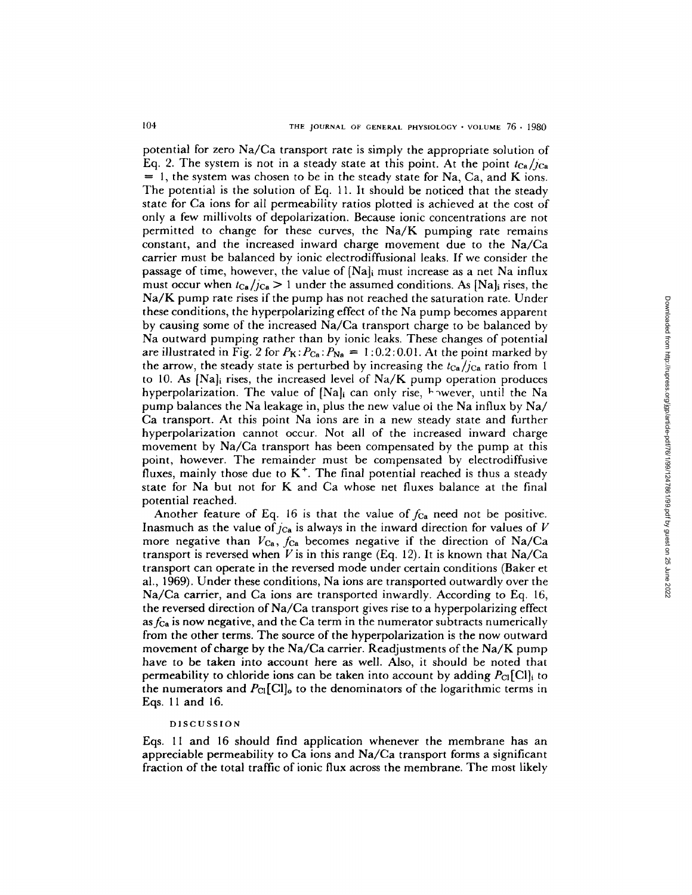potential for zero Na/Ca transport rate is simply the appropriate solution of Eq. 2. The system is not in a steady state at this point. At the point  $t_{Ga}/j_{Ga}$  $= 1$ , the system was chosen to be in the steady state for Na, Ca, and K ions. The potential is the solution of Eq. 11. It should be noticed that the steady state for Ca ions for all permeability ratios plotted is achieved at the cost of only a few millivolts of depolarization. Because ionic concentrations are not permitted to change for these curves, the Na/K pumping rate remains constant, and the increased inward charge movement due to the Na/Ca carrier must be balanced by ionic electrodiffusional leaks. If we consider the passage of time, however, the value of  $[Na]$  must increase as a net Na influx must occur when  $t_{Ca}/c_a > 1$  under the assumed conditions. As [Na]<sub>i</sub> rises, the Na/K pump rate rises if the pump has not reached the saturation rate. Under these conditions, the hyperpolarizing effect of the Na pump becomes apparent by causing some of the increased Na/Ca transport charge to be balanced by Na outward pumping rather than by ionic leaks. These changes of potential are illustrated in Fig. 2 for  $P_K$ :  $P_{Ca}$ :  $P_{Na} = 1:0.2:0.01$ . At the point marked by the arrow, the steady state is perturbed by increasing the  $t_{Ca}/j_{Ca}$  ratio from 1 to 10. As [Na]i rises, the increased level of Na/K pump operation produces hyperpolarization. The value of  $[Na]_i$  can only rise,  $\vdash$  wever, until the Na pump balances the Na leakage in, plus the new value oi the Na influx by Na/ Ca transport. At this point Na ions are in a new steady state and further hyperpolarization cannot occur. Not all of the increased inward charge movement by Na/Ca transport has been compensated by the pump at this point, however. The remainder must be compensated by electrodiffusive fluxes, mainly those due to  $K^+$ . The final potential reached is thus a steady state for Na but not for K and Ca whose net fluxes balance at the final potential reached.

Another feature of Eq. 16 is that the value of  $f_{Ca}$  need not be positive. Inasmuch as the value of  $j_{Ca}$  is always in the inward direction for values of  $V$ more negative than  $V_{Ca}$ ,  $f_{Ca}$  becomes negative if the direction of Na/Ca transport is reversed when  $\overline{V}$  is in this range (Eq. 12). It is known that Na/Ca transport can operate in the reversed mode under certain conditions (Baker et al., 1969). Under these conditions, Na ions are transported outwardly over the Na/Ca carrier, and Ca ions are transported inwardly. According to Eq. 16, the reversed direction of Na/Ca transport gives rise to a hyperpolarizing effect *asfca* is now negative, and the Ca term in the numerator subtracts numerically from the other terms. The source of the hyperpolarization is the now outward movement of charge by the Na/Ca carrier. Readjustments of the Na/K pump have to be taken into account here as well. Also, it should be noted that permeability to chloride ions can be taken into account by adding  $P_{\text{Cl}}[\text{Cl}]_i$  to the numerators and  $P_{\text{Cl}}[\text{Cl}]_0$  to the denominators of the logarithmic terms in Eqs. 11 and 16.

### DISCUSSION

Eqs. 11 and 16 should find application whenever the membrane has an appreciable permeability to Ca ions and  $Na/Ca$  transport forms a significant fraction of the total traffic of ionic flux across the membrane. The most likely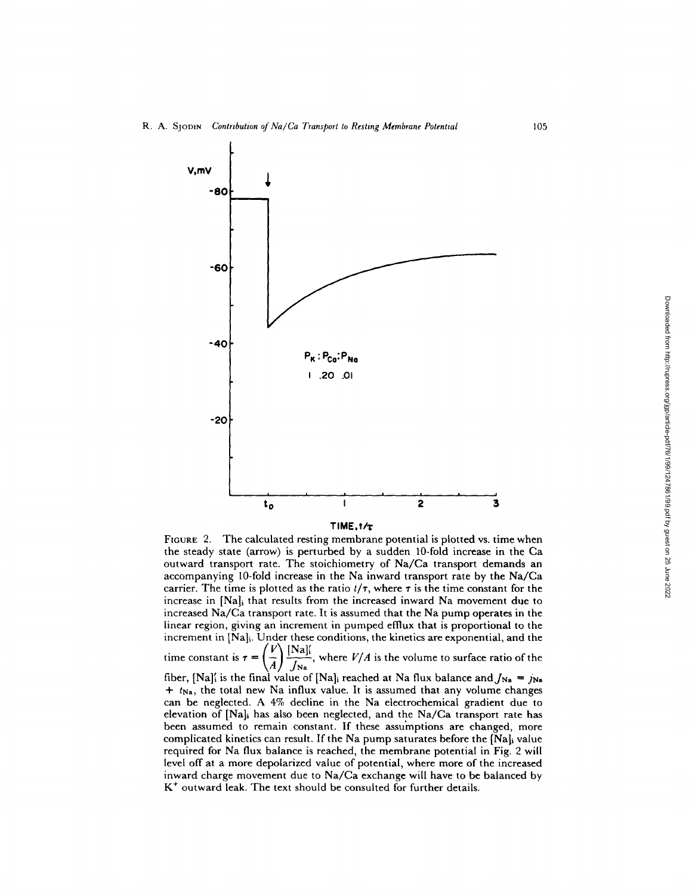

FIGURE 2. The calculated resting membrane potential is plotted vs. time when the steady state (arrow) is perturbed by a sudden 10-fold increase in the Ca outward transport rate. The stoichiometry of Na/Ca transport demands an accompanying 10-fold increase in the Na inward transport rate by the Na/Ca carrier. The time is plotted as the ratio  $t/\tau$ , where  $\tau$  is the time constant for the increase in [Na]i that results from the increased inward Na movement due to increased Na/Ca transport rate. It is assumed that the Na pump operates in the linear region, giving an increment in pumped efflux that is proportional to the increment in [Na]i. Under these conditions, the kinetics are exponential, and the

time constant is  $\tau = \left(\frac{V}{I}\right) \frac{[Na]_I^2}{I}$ , where *V/A* is the volume to surface ratio of the

fiber, [Na]<sup>{</sup> is the final value of [Na]<sub>i</sub> reached at Na flux balance and  $J_{\text{Na}} = j_{\text{Na}}$ *+ t*<sub>Na</sub>, the total new Na influx value. It is assumed that any volume changes can be neglected. A 4% decline in the Na electrochemical gradient due to elevation of [Na]i has also been neglected, and the Na/Ca transport rate has been assumed to remain constant. If these assumptions are changed, more complicated kinetics can result. If the Na pump saturates before the [Na]i value required for Na flux balance is reached, the membrane potential in Fig. 2 will level off at a more depolarized value of potential, where more of the increased inward charge movement due to Na/Ca exchange will have to be balanced by  $K<sup>+</sup>$  outward leak. The text should be consulted for further details.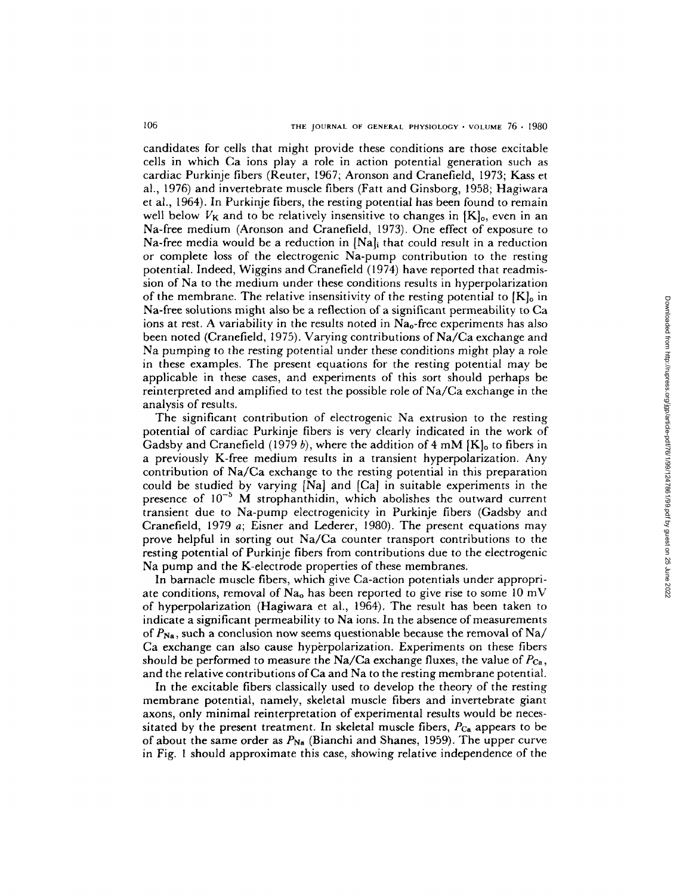candidates for cells that might provide these conditions are those excitable cells in which Ca ions play a role in action potential generation such as cardiac Purkinje fibers (Reuter, 1967; Aronson and Cranefield, 1973; Kass et al., 1976) and invertebrate muscle fibers (Fatt and Ginsborg, 1958; Hagiwara et al., 1964). In Purkinje fibers, the resting potential has been found to remain well below  $V_K$  and to be relatively insensitive to changes in  $[K]_0$ , even in an Na-free medium (Aronson and Cranefield, 1973). One effect of exposure to Na-free media would be a reduction in  $[Na]$ <sub>i</sub> that could result in a reduction or complete loss of the electrogenic Na-pump contribution to the resting potential. Indeed, Wiggins and Cranefield (1974) have reported that readmission of Na to the medium under these conditions results in hyperpolarization of the membrane. The relative insensitivity of the resting potential to  $[K]_0$  in Na-free solutions might also be a reflection of a significant permeability to Ca ions at rest. A variability in the results noted in  $Na<sub>o</sub>$ -free experiments has also been noted (Cranefield, 1975). Varying contributions of Na/Ca exchange and Na pumping to the resting potential under these conditions might play a role in these examples. The present equations for the resting potential may be applicable in these cases, and experiments of this sort should perhaps be reinterpreted and amplified to test the possible role of Na/Ca exchange in the analysis of results.

The significant contribution of electrogenic Na extrusion to the resting potential of cardiac Purkinje fibers is very clearly indicated in the work of Gadsby and Cranefield (1979 b), where the addition of 4 mM  $[K]_0$  to fibers in a previously K-free medium results in a transient hyperpolarization. Any contribution of Na/Ca exchange to the resting potential in this preparation could be studied by varying [Na] and [Ca] in suitable experiments in the presence of  $10^{-5}$  M strophanthidin, which abolishes the outward current transient due to Na-pump electrogenicity in Purkinje fibers (Gadsby and Cranefield, 1979 a; Eisner and Lederer, 1980). The present equations may prove helpful in sorting out Na/Ca counter transport contributions to the resting potential of Purkinje fibers from contributions due to the electrogenic Na pump and the K-electrode properties of these membranes.

In barnacle muscle fibers, which give Ca-action potentials under appropriate conditions, removal of  $Na<sub>o</sub>$  has been reported to give rise to some 10 mV of hyperpolarization (Hagiwara et al., 1964). The result has been taken to indicate a significant permeability to Na ions. In the absence of measurements of  $P_{\text{Na}}$ , such a conclusion now seems questionable because the removal of Na/ Ca exchange can also cause hyperpolarization. Experiments on these fibers should be performed to measure the Na/Ca exchange fluxes, the value of *Pca,*  and the relative contributions of Ca and Na to the resting membrane potential.

In the excitable fibers classically used to develop the theory of the resting membrane potential, namely, skeletal muscle fibers and invertebrate giant axons, only minimal reinterpretation of experimental results would be necessitated by the present treatment. In skeletal muscle fibers,  $P_{Ca}$  appears to be of about the same order as  $P_{\text{Na}}$  (Bianchi and Shanes, 1959). The upper curve in Fig. 1 should approximate this case, showing relative independence of the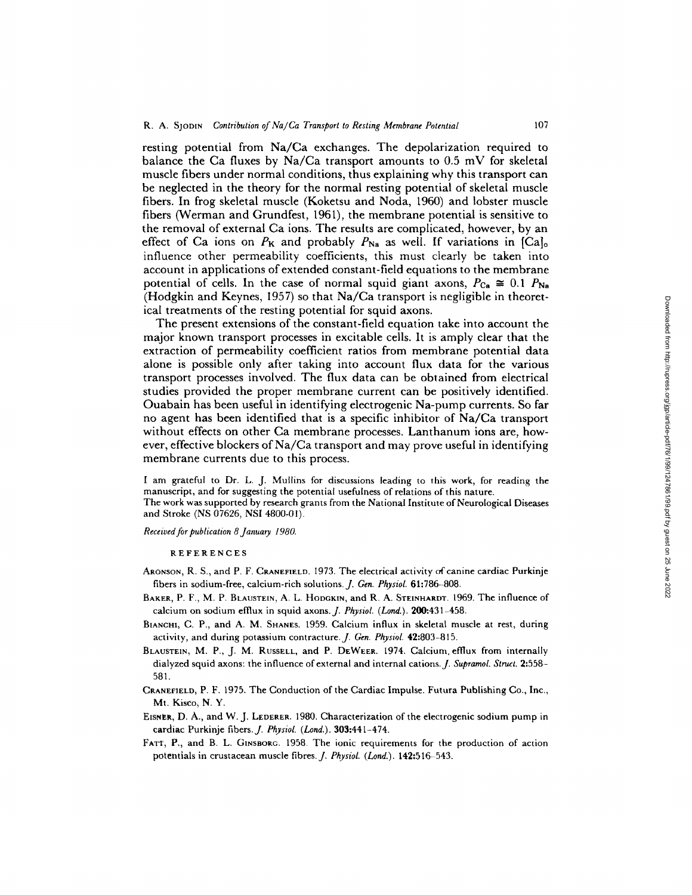resting potential from Na/Ca exchanges. The depolarization required to balance the Ca fluxes by  $Na/Ca$  transport amounts to 0.5 mV for skeletal muscle fibers under normal conditions, thus explaining why this transport can be neglected in the theory for the normal resting potential of skeletal muscle fibers. In frog skeletal muscle (Koketsu and Noda, 1960) and lobster muscle fibers (Werman and Grundfest, 1961), the membrane potential is sensitive to the removal of external Ca ions. The results are complicated, however, by an effect of Ca ions on  $P_K$  and probably  $P_{Na}$  as well. If variations in [Ca]<sub>o</sub> influence other permeability coefficients, this must clearly be taken into account in applications of extended constant-field equations to the membrane potential of cells. In the case of normal squid giant axons,  $P_{Ca} \cong 0.1$   $P_{Na}$ (Hodgkin and Keynes, 1957) so that Na/Ca transport is negligible in theoretical treatments of the resting potential for squid axons.

The present extensions of the constant-field equation take into account the major known transport processes in excitable cells. It is amply clear that the extraction of permeability coefficient ratios from membrane potential data alone is possible only after taking into account flux data for the various transport processes involved. The flux data can be obtained from electrical studies provided the proper membrane current can be positively identified. Ouabain has been useful in identifying electrogenic Na-pump currents. So far no agent has been identified that is a specific inhibitor of Na/Ca transport without effects on other Ca membrane processes. Lanthanum ions are, however, effective blockers of Na/Ca transport and may prove useful in identifying membrane currents due to this process.

I am grateful to Dr. L. J. Mullins for discussions leading to this work, for reading the manuscript, and for suggesting the potential usefulness of relations of this nature. The work was supported by research grants from the National Institute of Neurological Diseases and Stroke (NS 07626, NSI 4800-01).

*Received for publication 8 January 1980.* 

REFERENCES

- ARONSON, R. S., and P. F. CRANEFIELD. 1973. The electrical activity of canine cardiac Purkinje fibers in sodium-free, calcium-rich solutions. *J. Gen. Physiol.* 61:786-808.
- BAKER, P. F., M. P. BLAUSTEIN, A. L. HODGKIN, and R. A. STEINHARDT. 1969. The influence of calcium on sodium effiux in squid axons. *J. Physiol. (Lond.).* 200:431-458.
- BIANcm, C. P., and A. M. SHANES. 1959. Calcium influx in skeletal muscle at rest, during activity, and during potassium contracture.J. *Gen. Physiol.* 42:803-815.
- BLAUSTEIN, M. P., J. M. RUSSELL, and P. DEWEER. 1974. Calcium efflux from internally dialyzed squid axons: the influence of external and internal cations.J. *Supramol. Struct.* 2:558- 581.
- CRANEFIELD, P. F. 1975. The Conduction of the Cardiac Impulse. Futura Publishing Co., Inc., Mt. Kisco, N. Y.
- EISNER, D. A., and W. J. LEDERER. 1980. Characterization of the electrogenic sodium pump in cardiac Purkinje fibers.J. *PhysioL (Lond.).* 303:441-474.
- FATT, P., and B. L. GINSBORG. 1958. The ionic requirements for the production of action potentials in crustacean muscle fibres. *J. Physiol. (Lond.).* 142:516-543.